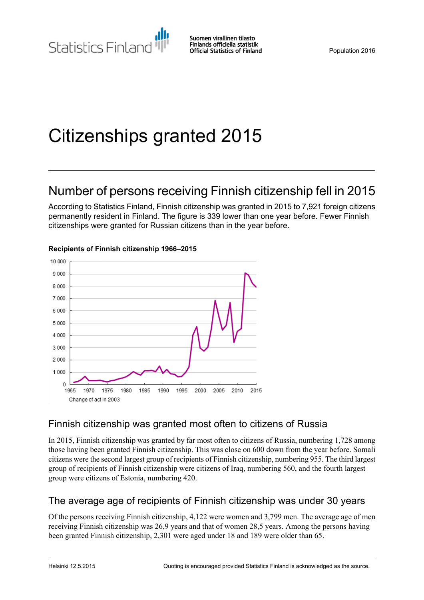# Citizenships granted 2015

# Number of persons receiving Finnish citizenship fell in 2015

According to Statistics Finland, Finnish citizenship was granted in 2015 to 7,921 foreign citizens permanently resident in Finland. The figure is 339 lower than one year before. Fewer Finnish citizenships were granted for Russian citizens than in the year before.



#### **Recipients of Finnish citizenship 1966–2015**

### Finnish citizenship was granted most often to citizens of Russia

In 2015, Finnish citizenship was granted by far most often to citizens of Russia, numbering 1,728 among those having been granted Finnish citizenship. This was close on 600 down from the year before. Somali citizens were the second largest group of recipients of Finnish citizenship, numbering 955. The third largest group of recipients of Finnish citizenship were citizens of Iraq, numbering 560, and the fourth largest group were citizens of Estonia, numbering 420.

### The average age of recipients of Finnish citizenship was under 30 years

Of the persons receiving Finnish citizenship, 4,122 were women and 3,799 men. The average age of men receiving Finnish citizenship was 26,9 years and that of women 28,5 years. Among the persons having been granted Finnish citizenship, 2,301 were aged under 18 and 189 were older than 65.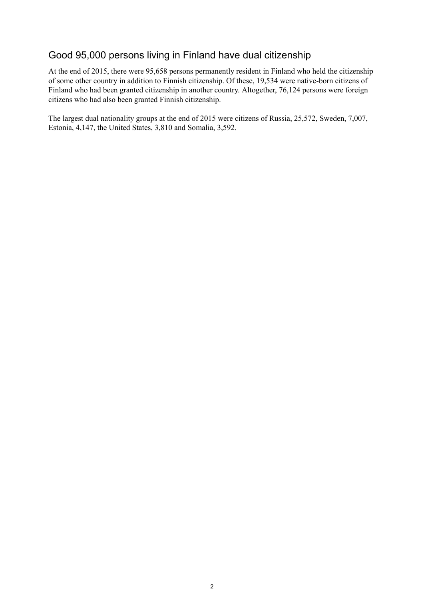### Good 95,000 persons living in Finland have dual citizenship

At the end of 2015, there were 95,658 persons permanently resident in Finland who held the citizenship of some other country in addition to Finnish citizenship. Of these, 19,534 were native-born citizens of Finland who had been granted citizenship in another country. Altogether, 76,124 persons were foreign citizens who had also been granted Finnish citizenship.

The largest dual nationality groups at the end of 2015 were citizens of Russia, 25,572, Sweden, 7,007, Estonia, 4,147, the United States, 3,810 and Somalia, 3,592.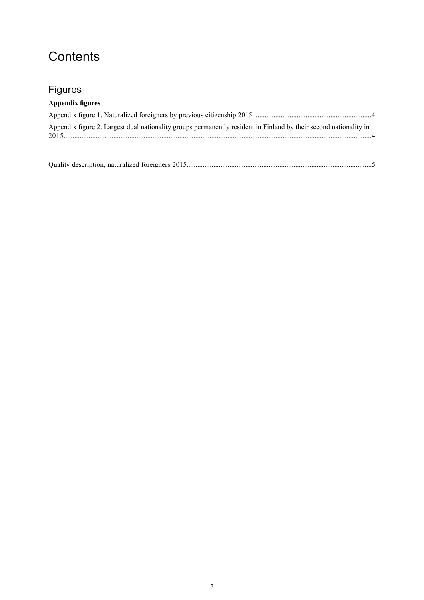## **Contents**

### Figures

### **Appendix figures**

| Appendix figure 2. Largest dual nationality groups permanently resident in Finland by their second nationality in |  |
|-------------------------------------------------------------------------------------------------------------------|--|
|                                                                                                                   |  |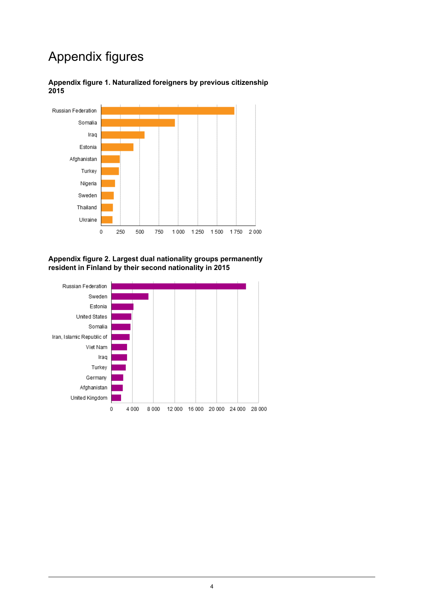### Appendix figures



<span id="page-3-0"></span>**Appendix figure 1. Naturalized foreigners by previous citizenship 2015**

<span id="page-3-1"></span>**Appendix figure 2. Largest dual nationality groups permanently resident in Finland by their second nationality in 2015**

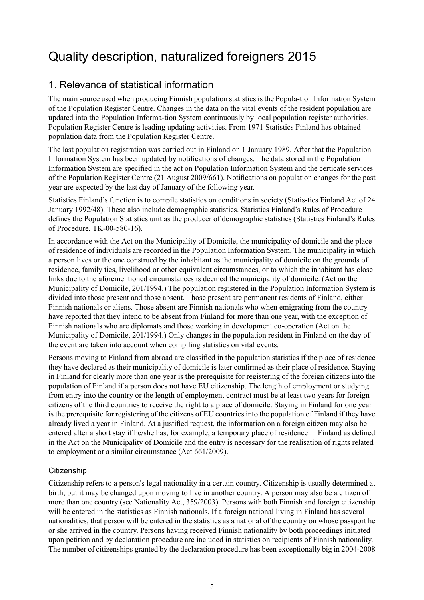# <span id="page-4-0"></span>Quality description, naturalized foreigners 2015

### 1. Relevance of statistical information

The main source used when producing Finnish population statistics is the Popula-tion Information System of the Population Register Centre. Changes in the data on the vital events of the resident population are updated into the Population Informa-tion System continuously by local population register authorities. Population Register Centre is leading updating activities. From 1971 Statistics Finland has obtained population data from the Population Register Centre.

The last population registration was carried out in Finland on 1 January 1989. After that the Population Information System has been updated by notifications of changes. The data stored in the Population Information System are specified in the act on Population Information System and the certicate services of the Population Register Centre (21 August 2009/661). Notifications on population changes for the past year are expected by the last day of January of the following year.

Statistics Finland's function is to compile statistics on conditions in society (Statis-tics Finland Act of 24 January 1992/48). These also include demographic statistics. Statistics Finland's Rules of Procedure defines the Population Statistics unit as the producer of demographic statistics (Statistics Finland's Rules of Procedure, TK-00-580-16).

In accordance with the Act on the Municipality of Domicile, the municipality of domicile and the place of residence of individuals are recorded in the Population Information System. The municipality in which a person lives or the one construed by the inhabitant as the municipality of domicile on the grounds of residence, family ties, livelihood or other equivalent circumstances, or to which the inhabitant has close links due to the aforementioned circumstances is deemed the municipality of domicile. (Act on the Municipality of Domicile, 201/1994.) The population registered in the Population Information System is divided into those present and those absent. Those present are permanent residents of Finland, either Finnish nationals or aliens. Those absent are Finnish nationals who when emigrating from the country have reported that they intend to be absent from Finland for more than one year, with the exception of Finnish nationals who are diplomats and those working in development co-operation (Act on the Municipality of Domicile, 201/1994.) Only changes in the population resident in Finland on the day of the event are taken into account when compiling statistics on vital events.

Persons moving to Finland from abroad are classified in the population statistics if the place of residence they have declared as their municipality of domicile is later confirmed as their place of residence. Staying in Finland for clearly more than one year is the prerequisite for registering of the foreign citizens into the population of Finland if a person does not have EU citizenship. The length of employment or studying from entry into the country or the length of employment contract must be at least two years for foreign citizens of the third countries to receive the right to a place of domicile. Staying in Finland for one year is the prerequisite for registering of the citizens of EU countries into the population of Finland if they have already lived a year in Finland. At a justified request, the information on a foreign citizen may also be entered after a short stay if he/she has, for example, a temporary place of residence in Finland as defined in the Act on the Municipality of Domicile and the entry is necessary for the realisation of rights related to employment or a similar circumstance (Act 661/2009).

#### **Citizenship**

Citizenship refers to a person's legal nationality in a certain country. Citizenship is usually determined at birth, but it may be changed upon moving to live in another country. A person may also be a citizen of more than one country (see Nationality Act, 359/2003). Persons with both Finnish and foreign citizenship will be entered in the statistics as Finnish nationals. If a foreign national living in Finland has several nationalities, that person will be entered in the statistics as a national of the country on whose passport he or she arrived in the country. Persons having received Finnish nationality by both proceedings initiated upon petition and by declaration procedure are included in statistics on recipients of Finnish nationality. The number of citizenships granted by the declaration procedure has been exceptionally big in 2004-2008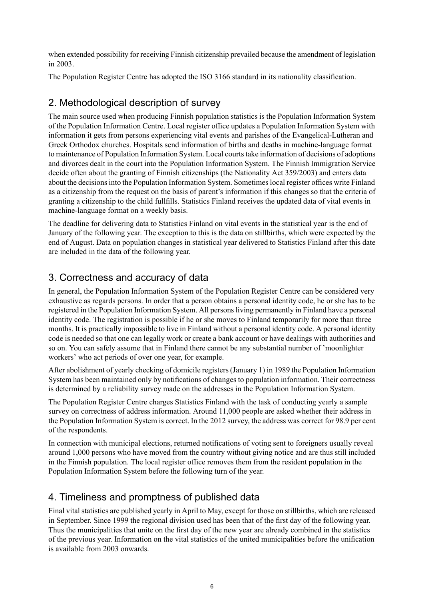when extended possibility for receiving Finnish citizenship prevailed because the amendment of legislation in 2003.

The Population Register Centre has adopted the ISO 3166 standard in its nationality classification.

### 2. Methodological description of survey

The main source used when producing Finnish population statistics is the Population Information System of the Population Information Centre. Local register office updates a Population Information System with information it gets from persons experiencing vital events and parishes of the Evangelical-Lutheran and Greek Orthodox churches. Hospitals send information of births and deaths in machine-language format to maintenance of Population Information System. Local courtstake information of decisions of adoptions and divorces dealt in the court into the Population Information System. The Finnish Immigration Service decide often about the granting of Finnish citizenships (the Nationality Act 359/2003) and enters data about the decisions into the Population Information System. Sometimes local register offices write Finland as a citizenship from the request on the basis of parent's information if this changes so that the criteria of granting a citizenship to the child fullfills. Statistics Finland receives the updated data of vital events in machine-language format on a weekly basis.

The deadline for delivering data to Statistics Finland on vital events in the statistical year is the end of January of the following year. The exception to this is the data on stillbirths, which were expected by the end of August. Data on population changes in statistical year delivered to Statistics Finland after this date are included in the data of the following year.

### 3. Correctness and accuracy of data

In general, the Population Information System of the Population Register Centre can be considered very exhaustive as regards persons. In order that a person obtains a personal identity code, he or she has to be registered in the Population Information System. All personsliving permanently in Finland have a personal identity code. The registration is possible if he or she moves to Finland temporarily for more than three months. It is practically impossible to live in Finland without a personal identity code. A personal identity code is needed so that one can legally work or create a bank account or have dealings with authorities and so on. You can safely assume that in Finland there cannot be any substantial number of 'moonlighter workers' who act periods of over one year, for example.

After abolishment of yearly checking of domicile registers (January 1) in 1989 the Population Information System has been maintained only by notifications of changes to population information. Their correctness is determined by a reliability survey made on the addresses in the Population Information System.

The Population Register Centre charges Statistics Finland with the task of conducting yearly a sample survey on correctness of address information. Around 11,000 people are asked whether their address in the Population Information System is correct. In the 2012 survey, the address was correct for 98.9 per cent of the respondents.

In connection with municipal elections, returned notifications of voting sent to foreigners usually reveal around 1,000 persons who have moved from the country without giving notice and are thus still included in the Finnish population. The local register office removes them from the resident population in the Population Information System before the following turn of the year.

### 4. Timeliness and promptness of published data

Final vital statistics are published yearly in April to May, except for those on stillbirths, which are released in September. Since 1999 the regional division used has been that of the first day of the following year. Thus the municipalities that unite on the first day of the new year are already combined in the statistics of the previous year. Information on the vital statistics of the united municipalities before the unification is available from 2003 onwards.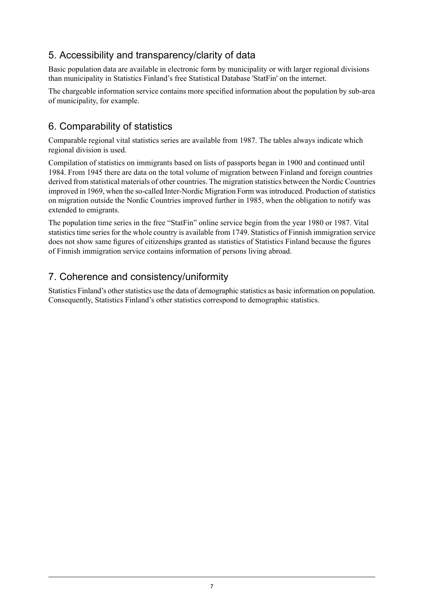### 5. Accessibility and transparency/clarity of data

Basic population data are available in electronic form by municipality or with larger regional divisions than municipality in Statistics Finland's free Statistical Database 'StatFin' on the internet.

The chargeable information service contains more specified information about the population by sub-area of municipality, for example.

### 6. Comparability of statistics

Comparable regional vital statistics series are available from 1987. The tables always indicate which regional division is used.

Compilation of statistics on immigrants based on lists of passports began in 1900 and continued until 1984. From 1945 there are data on the total volume of migration between Finland and foreign countries derived from statistical materials of other countries. The migration statistics between the Nordic Countries improved in 1969, when the so-called Inter-Nordic Migration Form was introduced. Production of statistics on migration outside the Nordic Countries improved further in 1985, when the obligation to notify was extended to emigrants.

The population time series in the free "StatFin" online service begin from the year 1980 or 1987. Vital statistics time series for the whole country is available from 1749. Statistics of Finnish immigration service does not show same figures of citizenships granted as statistics of Statistics Finland because the figures of Finnish immigration service contains information of persons living abroad.

#### 7. Coherence and consistency/uniformity

Statistics Finland's other statistics use the data of demographic statistics as basic information on population. Consequently, Statistics Finland's other statistics correspond to demographic statistics.